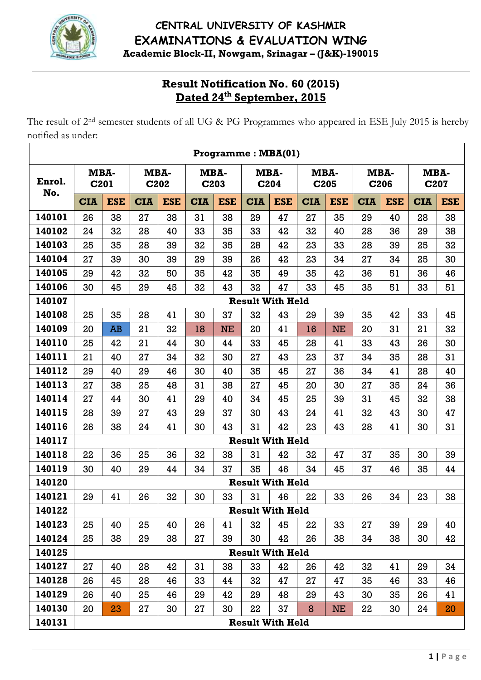

# **CENTRAL UNIVERSITY OF KASHMIR EXAMINATIONS & EVALUATION WING Academic Block-II, Nowgam, Srinagar – (J&K)-190015**

## **Result Notification No. 60 (2015) Dated 24th September, 2015**

The result of 2<sup>nd</sup> semester students of all UG & PG Programmes who appeared in ESE July 2015 is hereby notified as under:

|               |              |                                  |              |            |            | Programme: MBA(01) |                         |            |              |            |              |            |            |              |
|---------------|--------------|----------------------------------|--------------|------------|------------|--------------------|-------------------------|------------|--------------|------------|--------------|------------|------------|--------------|
| Enrol.<br>No. | MBA-<br>C201 |                                  | MBA-<br>C202 |            |            | MBA-<br>C203       | MBA-<br>C204            |            | MBA-<br>C205 |            | MBA-<br>C206 |            |            | MBA-<br>C207 |
|               | <b>CIA</b>   | <b>ESE</b>                       | <b>CIA</b>   | <b>ESE</b> | <b>CIA</b> | <b>ESE</b>         | <b>CIA</b>              | <b>ESE</b> | <b>CIA</b>   | <b>ESE</b> | <b>CIA</b>   | <b>ESE</b> | <b>CIA</b> | <b>ESE</b>   |
| 140101        | 26           | 38                               | 27           | 38         | 31         | 38                 | 29                      | 47         | 27           | 35         | 29           | 40         | 28         | 38           |
| 140102        | 24           | 32                               | 28           | 40         | 33         | 35                 | 33                      | 42         | 32           | 40         | 28           | 36         | 29         | 38           |
| 140103        | 25           | 35                               | 28           | 39         | 32         | 35                 | 28                      | 42         | 23           | 33         | 28           | 39         | 25         | 32           |
| 140104        | 27           | 39                               | 30           | 39         | 29         | 39                 | 26                      | 42         | 23           | 34         | 27           | 34         | 25         | 30           |
| 140105        | 29           | 42                               | 32           | 50         | 35         | 42                 | 35                      | 49         | 35           | 42         | 36           | 51         | 36         | 46           |
| 140106        | 30           | 45                               | 29           | 45         | 32         | 43                 | 32                      | 47         | 33           | 45         | 35           | 51         | 33         | 51           |
| 140107        |              |                                  |              |            |            |                    | <b>Result With Held</b> |            |              |            |              |            |            |              |
| 140108        | 25           | 35                               | 28           | 41         | 30         | 37                 | 32                      | 43         | 29           | 39         | 35           | 42         | 33         | 45           |
| 140109        | 20           | <b>AB</b>                        | 21           | 32         | 18         | <b>NE</b>          | 20                      | 41         | 16           | <b>NE</b>  | 20           | 31         | 21         | 32           |
| 140110        | 25           | 42<br>21<br>44<br>27<br>21<br>40 |              |            | 30         | 44                 | 33                      | 45         | 28           | 41         | 33           | 43         | 26         | 30           |
| 140111        |              |                                  |              | 34         | 32         | 30                 | 27                      | 43         | 23           | 37         | 34           | 35         | 28         | 31           |
| 140112        | 29           | 40                               | 29           | 46         | 30         | 40                 | 35                      | 45         | 27           | 36         | 34           | 41         | 28         | 40           |
| 140113        | 27           | 38                               | 25           | 48         | 31         | 38                 | 27                      | 45         | 20           | 30         | 27           | 35         | 24         | 36           |
| 140114        | 27           | 44                               | 30           | 41         | 29         | 40                 | 34                      | 45         | 25           | 39         | 31           | 45         | 32         | 38           |
| 140115        | 28           | 39                               | 27           | 43         | 29         | 37                 | 30                      | 43         | 24           | 41         | 32           | 43         | 30         | 47           |
| 140116        | 26           | 38                               | 24           | 41         | 30         | 43                 | 31                      | 42         | 23           | 43         | 28           | 41         | 30         | 31           |
| 140117        |              |                                  |              |            |            |                    | <b>Result With Held</b> |            |              |            |              |            |            |              |
| 140118        | 22           | 36                               | 25           | 36         | 32         | 38                 | 31                      | 42         | 32           | 47         | 37           | 35         | 30         | 39           |
| 140119        | 30           | 40                               | 29           | 44         | 34         | 37                 | 35                      | 46         | 34           | 45         | 37           | 46         | 35         | 44           |
| 140120        |              |                                  |              |            |            |                    | <b>Result With Held</b> |            |              |            |              |            |            |              |
| 140121        | 29           | 41                               | 26           | 32         | 30         | 33                 | 31                      | 46         | 22           | 33         | 26           | 34         | 23         | 38           |
| 140122        |              |                                  |              |            |            |                    | <b>Result With Held</b> |            |              |            |              |            |            |              |
| 140123        | 25           | 40                               | 25           | 40         | 26         | 41                 | 32                      | 45         | 22           | 33         | 27           | 39         | 29         | 40           |
| 140124        | 25           | 38                               | 29           | 38         | 27         | 39                 | 30                      | 42         | 26           | 38         | 34           | 38         | 30         | 42           |
| 140125        |              |                                  |              |            |            |                    | <b>Result With Held</b> |            |              |            |              |            |            |              |
| 140127        | 27           | 40                               | 28           | 42         | 31         | 38                 | 33                      | 42         | 26           | 42         | 32           | 41         | 29         | 34           |
| 140128        | 26           | 45                               | 28           | 46         | 33         | 44                 | 32                      | 47         | 27           | 47         | 35           | 46         | 33         | 46           |
| 140129        | 26           | 40                               | 25           | 46         | 29         | 42                 | 29                      | 48         | 29           | 43         | 30           | 35         | 26         | 41           |
| 140130        | 20           | 23                               | 27           | 30         | 27         | 30                 | 22                      | 37         | 8            | <b>NE</b>  | 22           | 30         | 24         | 20           |
| 140131        |              |                                  |              |            |            |                    | <b>Result With Held</b> |            |              |            |              |            |            |              |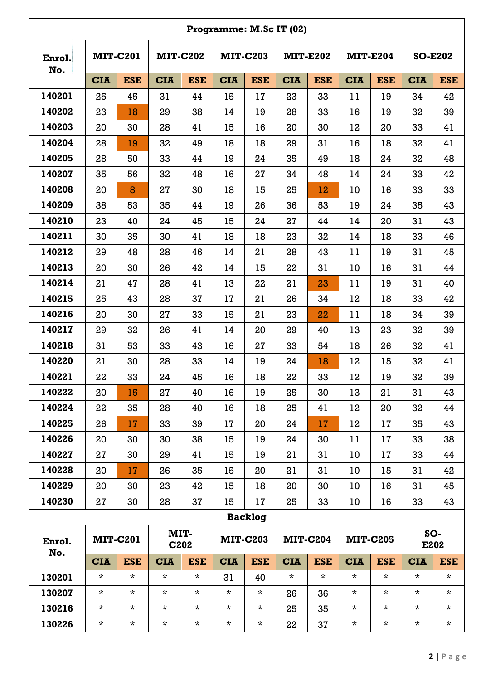|               |                 |                 |                 |                   |                 |                 | Programme: M.Sc IT (02) |                 |            |                 |             |                |
|---------------|-----------------|-----------------|-----------------|-------------------|-----------------|-----------------|-------------------------|-----------------|------------|-----------------|-------------|----------------|
| Enrol.<br>No. | <b>MIT-C201</b> |                 | <b>MIT-C202</b> |                   | <b>MIT-C203</b> |                 |                         | <b>MIT-E202</b> |            | <b>MIT-E204</b> |             | <b>SO-E202</b> |
|               | <b>CIA</b>      | <b>ESE</b>      | <b>CIA</b>      | <b>ESE</b>        | <b>CIA</b>      | <b>ESE</b>      | <b>CIA</b>              | <b>ESE</b>      | <b>CIA</b> | <b>ESE</b>      | <b>CIA</b>  | <b>ESE</b>     |
| 140201        | 25              | 45              | 31              | 44                | 15              | 17              | 23                      | 33              | 11         | 19              | 34          | 42             |
| 140202        | 23              | 18              | 29              | 38                | 14              | 19              | 28                      | 33              | 16         | 19              | 32          | 39             |
| 140203        | 20              | 30              | 28              | 41                | 15              | 16              | 20                      | 30              | 12         | 20              | 33          | 41             |
| 140204        | 28              | 19              | 32              | 49                | 18              | 18              | 29                      | 31              | 16         | 18              | 32          | 41             |
| 140205        | 28              | 50              | 33              | 44                | 19              | 24              | 35                      | 49              | 18         | 24              | 32          | 48             |
| 140207        | 35              | 56              | 32              | 48                | 16              | 27              | 34                      | 48              | 14         | 24              | 33          | 42             |
| 140208        | 20              | 8               | 27              | 30                | 18              | 15              | 25                      | 12              | 10         | 16              | 33          | 33             |
| 140209        | 38              | 53              | 35              | 44                | 19              | 26              | 36                      | 53              | 19         | 24              | 35          | 43             |
| 140210        | 23              | 40              | 24              | 45                | 15              | 24              | 27                      | 44              | 14         | 20              | 31          | 43             |
| 140211        | 30              | 35              | 30              | 41                | 18              | 18              | 23                      | 32              | 14         | 18              | 33          | 46             |
| 140212        | 29              | 48              | 28              | 46                | 14              | 21              | 28                      | 43              | 11         | 19              | 31          | 45             |
| 140213        | 20              | 30              | 26              | 42                | 14              | 15              | 22                      | 31              | 10         | 16              | 31          | 44             |
| 140214        | 21              | 47              | 28              | 41                | 13              | 22              | 21                      | 23              | 11         | 19              | 31          | 40             |
| 140215        | 25              | 43              | 28              | 37                | 17              | 21              | 26                      | 34              | 12         | 18              | 33          | 42             |
| 140216        | 20              | 30              | 27              | 33                | 15              | 21              | 23                      | 22              | 11         | 18              | 34          | 39             |
| 140217        | 29              | 32              | 26              | 41                | 14              | 20              | 29                      | 40              | 13         | 23              | 32          | 39             |
| 140218        | 31              | 53              | 33              | 43                | 16              | 27              | 33                      | 54              | 18         | 26              | 32          | 41             |
| 140220        | 21              | 30              | 28              | 33                | 14              | 19              | 24                      | 18              | 12         | 15              | 32          | 41             |
| 140221        | 22              | 33              | 24              | 45                | 16              | 18              | 22                      | 33              | 12         | 19              | 32          | 39             |
| 140222        | 20              | 15              | 27              | 40                | 16              | 19              | 25                      | 30              | 13         | 21              | 31          | 43             |
| 140224        | 22              | 35              | 28              | 40                | 16              | 18              | 25                      | 41              | 12         | 20              | 32          | 44             |
| 140225        | 26              | 17              | 33              | 39                | 17              | 20              | 24                      | 17              | 12         | 17              | 35          | 43             |
| 140226        | 20              | 30              | 30              | 38                | 15              | 19              | 24                      | 30              | 11         | 17              | 33          | 38             |
| 140227        | 27              | 30              | 29              | 41                | 15              | 19              | 21                      | 31              | 10         | 17              | 33          | 44             |
| 140228        | 20              | 17              | 26              | 35                | 15              | 20              | 21                      | 31              | 10         | 15              | 31          | 42             |
| 140229        | 20              | 30              | 23              | 42                | 15              | 18              | 20                      | 30              | 10         | 16              | 31          | 45             |
| 140230        | 27              | 30              | 28              | 37                | 15              | 17              | 25                      | 33              | 10         | 16              | 33          | 43             |
|               |                 |                 |                 |                   |                 | <b>Backlog</b>  |                         |                 |            |                 |             |                |
| Enrol.<br>No. |                 | <b>MIT-C201</b> | MIT-            | C <sub>2</sub> 02 |                 | <b>MIT-C203</b> |                         | <b>MIT-C204</b> |            | <b>MIT-C205</b> | SO-<br>E202 |                |
|               | <b>CIA</b>      | <b>ESE</b>      | <b>CIA</b>      | <b>ESE</b>        | <b>CIA</b>      | <b>ESE</b>      | <b>CIA</b>              | <b>ESE</b>      | <b>CIA</b> | <b>ESE</b>      | <b>CIA</b>  | <b>ESE</b>     |
| 130201        | $\star$         | $\star$         | $\star$         | $\star$           | 31              | 40              | $\star$                 | $\star$         | $\star$    | $\star$         | $\star$     | $\star$        |
| 130207        | $\star$         | $\star$         | $\star$         | $\star$           | $\star$         | $\star$         | 26                      | 36              | $\star$    | $\star$         | $\star$     | $\star$        |
| 130216        | $\star$         | $\star$         | $\star$         | $\star$           | $\star$         | $\star$         | 25                      | 35              | $\star$    | $\star$         | $^\star$    | $\star$        |
| 130226        | $\star$         | $\star$         | $\star$         | $\star$           | $\star$         | $\star$         | 22                      | 37              | $\star$    | $\star$         | $\star$     | $\star$        |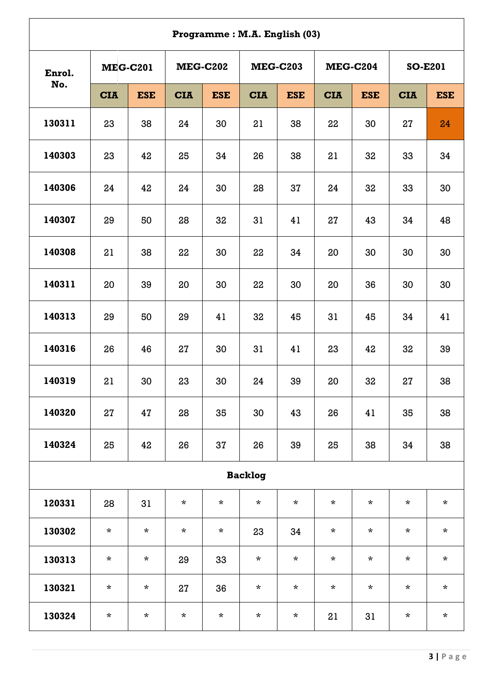|        |                 |            |            |                 | Programme: M.A. English (03) |                 |            |                 |            |                |
|--------|-----------------|------------|------------|-----------------|------------------------------|-----------------|------------|-----------------|------------|----------------|
| Enrol. | <b>MEG-C201</b> |            |            | <b>MEG-C202</b> |                              | <b>MEG-C203</b> |            | <b>MEG-C204</b> |            | <b>SO-E201</b> |
| No.    | <b>CIA</b>      | <b>ESE</b> | <b>CIA</b> | <b>ESE</b>      | <b>CIA</b>                   | <b>ESE</b>      | <b>CIA</b> | <b>ESE</b>      | <b>CIA</b> | <b>ESE</b>     |
| 130311 | 23              | 38         | 24         | 30              | 21                           | 38              | 22         | 30              | 27         | 24             |
| 140303 | 23              | 42         | 25         | 34              | 26                           | 38              | 21         | 32              | 33         | 34             |
| 140306 | 24              | 42         | 24         | 30              | 28                           | 37              | 24         | 32              | 33         | 30             |
| 140307 | 29              | 50         | 28         | 32              | 31                           | 41              | 27         | 43              | 34         | 48             |
| 140308 | 21              | 38         | 22         | 30              | 22                           | 34              | 20         | 30              | 30         | 30             |
| 140311 | 20              | 39         | 20         | 30              | 22                           | 30              | 20         | 36              | 30         | 30             |
| 140313 | 29              | 50         | 29         | 41              | 32                           | 45              | 31         | 45              | 34         | 41             |
| 140316 | 26              | 46         | 27         | 30              | 31                           | 41              | 23         | 42              | 32         | 39             |
| 140319 | 21              | 30         | 23         | 30              | 24                           | 39              | 20         | 32              | 27         | 38             |
| 140320 | 27              | 47         | 28         | 35              | 30                           | 43              | 26         | 41              | 35         | 38             |
| 140324 | 25              | 42         | 26         | 37              | 26                           | 39              | 25         | 38              | 34         | 38             |
|        |                 |            |            |                 | <b>Backlog</b>               |                 |            |                 |            |                |
| 120331 | 28              | 31         | $\star$    | $\star$         | $\star$                      | $\star$         | $\star$    | $\star$         | $\star$    | $\star$        |
| 130302 | $\star$         | $\star$    | $\star$    | $\star$         | 23                           | 34              | $\star$    | $\star$         | $\star$    | $\star$        |
| 130313 | $\star$         | $\star$    | 29         | 33              | $\star$                      | $\star$         | $\star$    | $\star$         | $\star$    | $\star$        |
| 130321 | $\star$         | $\star$    | 27         | 36              | $\star$                      | $\star$         | $\star$    | $\star$         | $\star$    | $\star$        |
| 130324 | $\star$         | $\star$    | $\star$    | $\star$         | $\star$                      | $\star$         | 21         | 31              | $\star$    | $\star$        |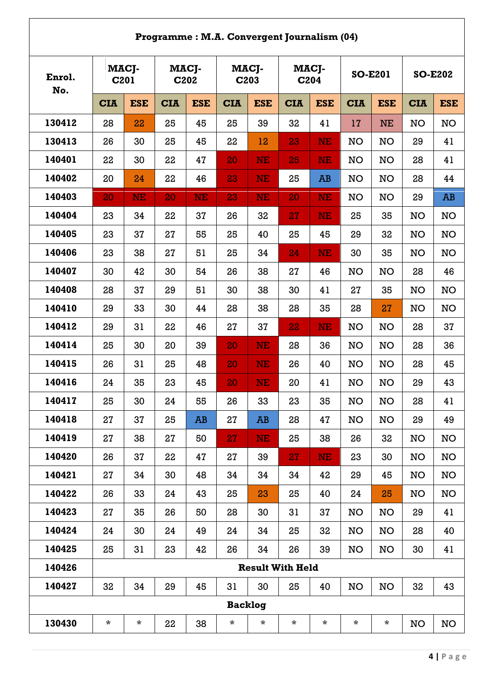|               |            |                           |            |               |                |               | Programme: M.A. Convergent Journalism (04) |                           |            |                |            |                |
|---------------|------------|---------------------------|------------|---------------|----------------|---------------|--------------------------------------------|---------------------------|------------|----------------|------------|----------------|
| Enrol.<br>No. |            | MACJ-<br>C <sub>201</sub> |            | MACJ-<br>C202 |                | MACJ-<br>C203 |                                            | MACJ-<br>C <sub>204</sub> |            | <b>SO-E201</b> |            | <b>SO-E202</b> |
|               | <b>CIA</b> | <b>ESE</b>                | <b>CIA</b> | <b>ESE</b>    | <b>CIA</b>     | <b>ESE</b>    | <b>CIA</b>                                 | <b>ESE</b>                | <b>CIA</b> | <b>ESE</b>     | <b>CIA</b> | <b>ESE</b>     |
| 130412        | 28         | 22                        | 25         | 45            | 25             | 39            | 32                                         | 41                        | 17         | <b>NE</b>      | <b>NO</b>  | <b>NO</b>      |
| 130413        | 26         | 30                        | 25         | 45            | 22             | 12            | 23                                         | NE                        | <b>NO</b>  | <b>NO</b>      | 29         | 41             |
| 140401        | 22         | 30                        | 22         | 47            | 20             | <b>NE</b>     | 25                                         | <b>NE</b>                 | NO         | NO             | 28         | 41             |
| 140402        | 20         | 24                        | 22         | 46            | 23             | <b>NE</b>     | 25                                         | <b>AB</b>                 | <b>NO</b>  | <b>NO</b>      | 28         | 44             |
| 140403        | 20         | <b>NE</b>                 | 20         | <b>NE</b>     | 23             | NE            | 20                                         | <b>NE</b>                 | <b>NO</b>  | <b>NO</b>      | 29         | <b>AB</b>      |
| 140404        | 23         | 34                        | 22         | 37            | 26             | 32            | 27                                         | <b>NE</b>                 | 25         | 35             | NO         | <b>NO</b>      |
| 140405        | 23         | 37                        | 27         | 55            | 25             | 40            | 25                                         | 45                        | 29         | 32             | <b>NO</b>  | <b>NO</b>      |
| 140406        | 23         | 38                        | 27         | 51            | 25             | 34            | 24                                         | <b>NE</b>                 | 30         | 35             | <b>NO</b>  | <b>NO</b>      |
| 140407        | 30         | 42                        | 30         | 54            | 26             | 38            | 27                                         | 46                        | NO         | <b>NO</b>      | 28         | 46             |
| 140408        | 28         | 37                        | 29         | 51            | 30             | 38            | 30                                         | 41                        | 27         | 35             | <b>NO</b>  | NO             |
| 140410        | 29         | 33                        | 30         | 44            | 28             | 38            | 28                                         | 35                        | 28         | 27             | <b>NO</b>  | <b>NO</b>      |
| 140412        | 29         | 31                        | 22         | 46            | 27             | 37            | 22                                         | NE                        | <b>NO</b>  | NO             | 28         | 37             |
| 140414        | 25         | 30                        | 20         | 39            | 20             | NE            | 28                                         | 36                        | <b>NO</b>  | <b>NO</b>      | 28         | 36             |
| 140415        | 26         | 31                        | 25         | 48            | 20             | NE            | 26                                         | 40                        | <b>NO</b>  | <b>NO</b>      | 28         | 45             |
| 140416        | 24         | 35                        | 23         | 45            | 20             | NE            | 20                                         | 41                        | NO         | <b>NO</b>      | 29         | 43             |
| 140417        | 25         | 30                        | 24         | 55            | 26             | 33            | 23                                         | 35                        | <b>NO</b>  | NO             | 28         | 41             |
| 140418        | 27         | 37                        | 25         | AB            | 27             | AB            | 28                                         | 47                        | <b>NO</b>  | NO             | 29         | 49             |
| 140419        | 27         | 38                        | 27         | 50            | 27             | NE            | 25                                         | 38                        | 26         | 32             | <b>NO</b>  | <b>NO</b>      |
| 140420        | 26         | 37                        | 22         | 47            | 27             | 39            | 27                                         | <b>NE</b>                 | 23         | 30             | <b>NO</b>  | <b>NO</b>      |
| 140421        | 27         | 34                        | 30         | 48            | 34             | 34            | 34                                         | 42                        | 29         | 45             | <b>NO</b>  | NO             |
| 140422        | 26         | 33                        | 24         | 43            | 25             | 23            | 25                                         | 40                        | 24         | 25             | <b>NO</b>  | <b>NO</b>      |
| 140423        | 27         | 35                        | 26         | 50            | 28             | 30            | 31                                         | 37                        | <b>NO</b>  | NO             | 29         | 41             |
| 140424        | 24         | 30                        | 24         | 49            | 24             | 34            | 25                                         | 32                        | NO         | NO             | 28         | 40             |
| 140425        | 25         | 31                        | 23         | 42            | 26             | 34            | 26                                         | 39                        | NO         | NO             | 30         | 41             |
| 140426        |            |                           |            |               |                |               | <b>Result With Held</b>                    |                           |            |                |            |                |
| 140427        | 32         | 34                        | 29         | 45            | 31             | 30            | 25                                         | 40                        | NO         | NO             | 32         | 43             |
|               |            |                           |            |               | <b>Backlog</b> |               |                                            |                           |            |                |            |                |
| 130430        | $\star$    | $\star$                   | 22         | 38            | $\star$        | $\star$       | $\star$                                    | $\star$                   | $\star$    | $\star$        | NO         | NO             |

 $\mathbf{r}$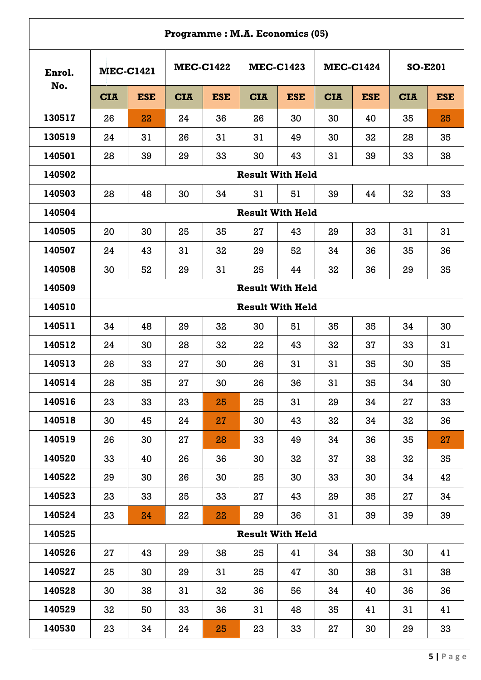|        |                         |            |            |                  | Programme: M.A. Economics (05) |                  |            |                  |            |                |  |  |
|--------|-------------------------|------------|------------|------------------|--------------------------------|------------------|------------|------------------|------------|----------------|--|--|
| Enrol. | <b>MEC-C1421</b>        |            |            | <b>MEC-C1422</b> |                                | <b>MEC-C1423</b> |            | <b>MEC-C1424</b> |            | <b>SO-E201</b> |  |  |
| No.    | <b>CIA</b>              | <b>ESE</b> | <b>CIA</b> | <b>ESE</b>       | <b>CIA</b>                     | <b>ESE</b>       | <b>CIA</b> | <b>ESE</b>       | <b>CIA</b> | <b>ESE</b>     |  |  |
| 130517 | 26                      | 22         | 24         | 36               | 26                             | 30               | 30         | 40               | 35         | 25             |  |  |
| 130519 | 24                      | 31         | 26         | 31               | 31                             | 49               | 30         | 32               | 28         | 35             |  |  |
| 140501 | 28                      | 39         | 29         | 33               | 30                             | 43               | 31         | 39               | 33         | 38             |  |  |
| 140502 |                         |            |            |                  | <b>Result With Held</b>        |                  |            |                  |            |                |  |  |
| 140503 | 28                      | 48         | 30         | 34               | 31                             | 51               | 39         | 44               | 32         | 33             |  |  |
| 140504 |                         |            |            |                  | <b>Result With Held</b>        |                  |            |                  |            |                |  |  |
| 140505 | 20                      | 30         | 25         | 35               | 27                             | 43               | 29         | 33               | 31         | 31             |  |  |
| 140507 | 24                      | 43         | 31         | 32               | 29                             | 52               | 34         | 36               | 35         | 36             |  |  |
| 140508 | 30                      | 52         | 29         | 31               | 25                             | 44               | 32         | 36               | 29         | 35             |  |  |
| 140509 | <b>Result With Held</b> |            |            |                  |                                |                  |            |                  |            |                |  |  |
| 140510 | <b>Result With Held</b> |            |            |                  |                                |                  |            |                  |            |                |  |  |
| 140511 | 34                      | 48         | 29         | 32               | 30                             | 51               | 35         | 35               | 34         | 30             |  |  |
| 140512 | 24                      | 30         | 28         | 32               | 22                             | 43               | 32         | 37               | 33         | 31             |  |  |
| 140513 | 26                      | 33         | 27         | 30               | 26                             | 31               | 31         | 35               | 30         | 35             |  |  |
| 140514 | 28                      | 35         | 27         | 30               | 26                             | 36               | 31         | 35               | 34         | 30             |  |  |
| 140516 | 23                      | 33         | 23         | 25               | 25                             | 31               | 29         | 34               | 27         | 33             |  |  |
| 140518 | 30                      | 45         | 24         | 27               | 30                             | 43               | 32         | 34               | 32         | 36             |  |  |
| 140519 | 26                      | 30         | 27         | 28               | 33                             | 49               | 34         | 36               | 35         | 27             |  |  |
| 140520 | 33                      | 40         | 26         | 36               | 30                             | 32               | 37         | 38               | 32         | 35             |  |  |
| 140522 | 29                      | 30         | 26         | 30               | 25                             | 30               | 33         | 30               | 34         | 42             |  |  |
| 140523 | 23                      | 33         | 25         | 33               | 27                             | 43               | 29         | 35               | 27         | 34             |  |  |
| 140524 | 23                      | 24         | 22         | 22               | 29                             | 36               | 31         | 39               | 39         | 39             |  |  |
| 140525 |                         |            |            |                  | <b>Result With Held</b>        |                  |            |                  |            |                |  |  |
| 140526 | 27                      | 43         | 29         | 38               | 25                             | 41               | 34         | 38               | 30         | 41             |  |  |
| 140527 | 25                      | 30         | 29         | 31               | 25                             | 47               | 30         | 38               | 31         | 38             |  |  |
| 140528 | 30                      | 38         | 31         | 32               | 36                             | 56               | 34         | 40               | 36         | 36             |  |  |
| 140529 | 32                      | 50         | 33         | 36               | 31                             | 48               | 35         | 41               | 31         | 41             |  |  |
| 140530 | 23                      | 34         | 24         | 25               | 23                             | 33               | 27         | 30               | 29         | 33             |  |  |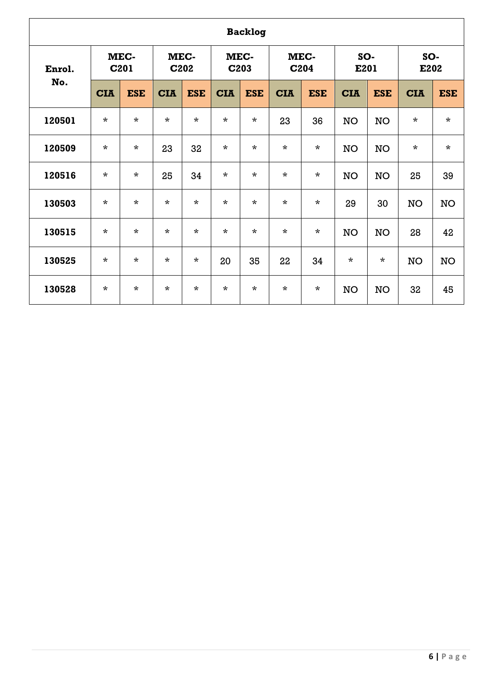|        | <b>Backlog</b> |                          |            |                           |            |              |            |                          |            |            |             |            |  |  |  |
|--------|----------------|--------------------------|------------|---------------------------|------------|--------------|------------|--------------------------|------------|------------|-------------|------------|--|--|--|
| Enrol. |                | MEC-<br>C <sub>201</sub> |            | MEC-<br>C <sub>2</sub> 02 |            | MEC-<br>C203 |            | MEC-<br>C <sub>204</sub> | E201       | SO-        | SO-<br>E202 |            |  |  |  |
| No.    | <b>CIA</b>     | <b>ESE</b>               | <b>CIA</b> | <b>ESE</b>                | <b>CIA</b> | <b>ESE</b>   | <b>CIA</b> | <b>ESE</b>               | <b>CIA</b> | <b>ESE</b> | <b>CIA</b>  | <b>ESE</b> |  |  |  |
| 120501 | $\star$        | $\star$                  | $\star$    | $\star$                   | $\star$    | $\star$      | 23         | 36                       | <b>NO</b>  | <b>NO</b>  | $\star$     | $\star$    |  |  |  |
| 120509 | $\star$        | $\star$                  | 23         | 32                        | $\star$    | $\star$      | $\star$    | $\star$                  | <b>NO</b>  | <b>NO</b>  | $\star$     | $\star$    |  |  |  |
| 120516 | $\star$        | $\star$                  | 25         | 34                        | $\star$    | $\star$      | $\star$    | $\star$                  | <b>NO</b>  | <b>NO</b>  | 25          | 39         |  |  |  |
| 130503 | $\star$        | $\star$                  | $\star$    | $\star$                   | $\star$    | $\star$      | $\star$    | $\star$                  | 29         | 30         | <b>NO</b>   | NO         |  |  |  |
| 130515 | $\star$        | $\star$                  | $\star$    | $\star$                   | $\star$    | $\star$      | $\star$    | $\star$                  | <b>NO</b>  | <b>NO</b>  | 28          | 42         |  |  |  |
| 130525 | $\star$        | $\star$                  | $\star$    | $\star$                   | 20         | 35           | 22         | 34                       | $\star$    | $\star$    | <b>NO</b>   | <b>NO</b>  |  |  |  |
| 130528 | $\star$        | $\star$                  | $\star$    | $\star$                   | $\star$    | $\star$      | $\star$    | $\star$                  | <b>NO</b>  | <b>NO</b>  | 32          | 45         |  |  |  |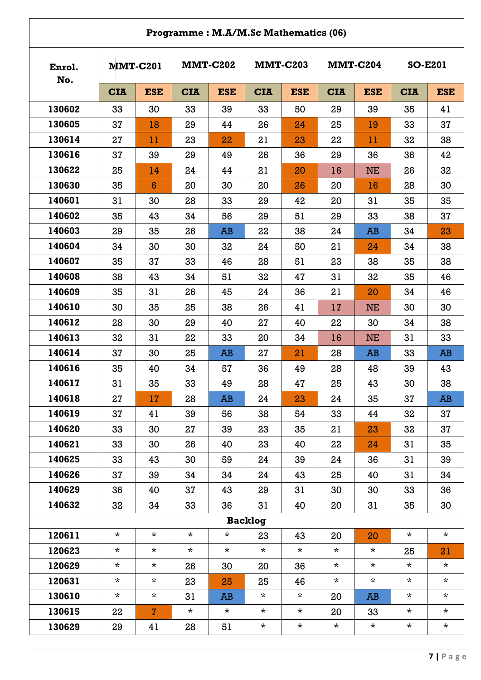|               |            |                 | Programme: M.A/M.Sc Mathematics (06) |                 |                |                 |            |                 |                |            |
|---------------|------------|-----------------|--------------------------------------|-----------------|----------------|-----------------|------------|-----------------|----------------|------------|
| Enrol.<br>No. |            | <b>MMT-C201</b> |                                      | <b>MMT-C202</b> |                | <b>MMT-C203</b> |            | <b>MMT-C204</b> | <b>SO-E201</b> |            |
|               | <b>CIA</b> | <b>ESE</b>      | <b>CIA</b>                           | <b>ESE</b>      | <b>CIA</b>     | <b>ESE</b>      | <b>CIA</b> | <b>ESE</b>      | <b>CIA</b>     | <b>ESE</b> |
| 130602        | 33         | 30              | 33                                   | 39              | 33             | 50              | 29         | 39              | 35             | 41         |
| 130605        | 37         | 18              | 29                                   | 44              | 26             | 24              | 25         | 19              | 33             | 37         |
| 130614        | 27         | 11              | 23                                   | 22              | 21             | 23              | 22         | 11              | 32             | 38         |
| 130616        | 37         | 39              | 29                                   | 49              | 26             | 36              | 29         | 36              | 36             | 42         |
| 130622        | 25         | 14              | 24                                   | 44              | 21             | 20              | 16         | <b>NE</b>       | 26             | 32         |
| 130630        | 35         | $6\phantom{1}6$ | 20                                   | 30              | 20             | 26              | 20         | 16              | 28             | 30         |
| 140601        | 31         | 30              | 28                                   | 33              | 29             | 42              | 20         | 31              | 35             | 35         |
| 140602        | 35         | 43              | 34                                   | 56              | 29             | 51              | 29         | 33              | 38             | 37         |
| 140603        | 29         | 35              | 26                                   | AB              | 22             | 38              | 24         | AB              | 34             | 23         |
| 140604        | 34         | 30              | 30                                   | 32              | 24             | 50              | 21         | 24              | 34             | 38         |
| 140607        | 35         | 37              | 33                                   | 46              | 28             | 51              | 23         | 38              | 35             | 38         |
| 140608        | 38         | 43              | 34                                   | 51              | 32             | 47              | 31         | 32              | 35             | 46         |
| 140609        | 35         | 31              | 26                                   | 45              | 24             | 36              | 21         | 20              | 34             | 46         |
| 140610        | 30         | 35              | 25                                   | 38              | 26             | 41              | 17         | <b>NE</b>       | 30             | 30         |
| 140612        | 28         | 30              | 29                                   | 40              | 27             | 40              | 22         | 30              | 34             | 38         |
| 140613        | 32         | 31              | 22                                   | 33              | 20             | 34              | 16         | <b>NE</b>       | 31             | 33         |
| 140614        | 37         | 30              | 25                                   | AB              | 27             | 21              | 28         | AB              | 33             | AB         |
| 140616        | 35         | 40              | 34                                   | 57              | 36             | 49              | 28         | 48              | 39             | 43         |
| 140617        | 31         | 35              | 33                                   | 49              | 28             | 47              | 25         | 43              | 30             | 38         |
| 140618        | 27         | 17              | 28                                   | AB              | 24             | 23              | 24         | 35              | 37             | AB         |
| 140619        | 37         | 41              | 39                                   | 56              | 38             | 54              | 33         | 44              | 32             | 37         |
| 140620        | 33         | 30              | 27                                   | 39              | 23             | 35              | 21         | 23              | 32             | 37         |
| 140621        | 33         | 30              | 26                                   | 40              | 23             | 40              | 22         | 24              | 31             | 35         |
| 140625        | 33         | 43              | 30                                   | 59              | 24             | 39              | 24         | 36              | 31             | 39         |
| 140626        | 37         | 39              | 34                                   | 34              | 24             | 43              | 25         | 40              | 31             | 34         |
| 140629        | 36         | 40              | 37                                   | 43              | 29             | 31              | 30         | 30              | 33             | 36         |
| 140632        | 32         | 34              | 33                                   | 36              | 31             | 40              | 20         | 31              | 35             | 30         |
|               |            |                 |                                      |                 | <b>Backlog</b> |                 |            |                 |                |            |
| 120611        | $\star$    | $\star$         | $\star$                              | $\star$         | 23             | 43              | 20         | 20              | $\star$        | $\star$    |
| 120623        | $\star$    | $\star$         | $\star$                              | $\star$         | $\star$        | $\star$         | $\star$    | $\star$         | 25             | 21         |
| 120629        | $\star$    | $\star$         | 26                                   | 30              | 20             | 36              | $\star$    | $\star$         | $\star$        | $\star$    |
| 120631        | $\star$    | $\star$         | 23                                   | 25              | 25             | 46              | $\star$    | $\star$         | $\star$        | $\star$    |
| 130610        | $\star$    | $\star$         | 31                                   | AB              | $\star$        | $\star$         | 20         | AB              | $\star$        | $\star$    |
| 130615        | 22         | $\mathbf{7}$    | $\star$                              | $\star$         | $\star$        | $\star$         | 20         | 33              | $\star$        | $\star$    |
| 130629        | 29         | 41              | 28                                   | 51              | $\star$        | $\star$         | $\star$    | $\star$         | $\star$        | $\star$    |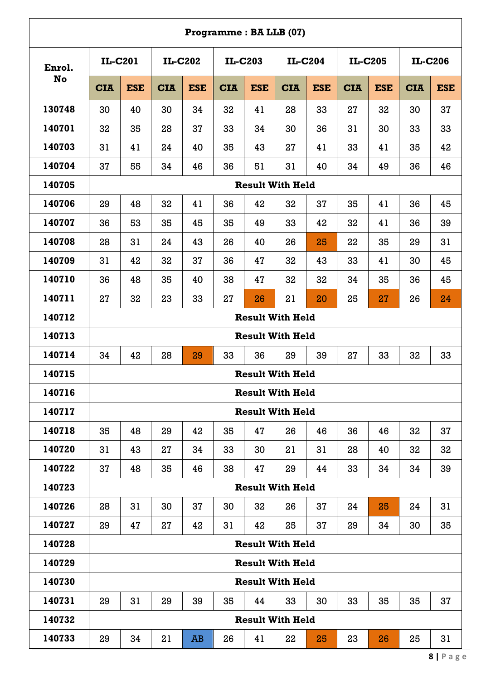|        |                         |            |            |            |            |            | Programme: BA LLB (07)  |                |            |            |            |            |  |
|--------|-------------------------|------------|------------|------------|------------|------------|-------------------------|----------------|------------|------------|------------|------------|--|
| Enrol. | IL-C201                 |            |            | IL-C202    |            | IL-C203    |                         | <b>IL-C204</b> | IL-C205    |            |            | IL-C206    |  |
| No     | <b>CIA</b>              | <b>ESE</b> | <b>CIA</b> | <b>ESE</b> | <b>CIA</b> | <b>ESE</b> | <b>CIA</b>              | <b>ESE</b>     | <b>CIA</b> | <b>ESE</b> | <b>CIA</b> | <b>ESE</b> |  |
| 130748 | 30                      | 40         | 30         | 34         | 32         | 41         | 28                      | 33             | 27         | 32         | 30         | 37         |  |
| 140701 | 32                      | 35         | 28         | 37         | 33         | 34         | 30                      | 36             | 31         | 30         | 33         | 33         |  |
| 140703 | 31                      | 41         | 24         | 40         | 35         | 43         | 27                      | 41             | 33         | 41         | 35         | 42         |  |
| 140704 | 37                      | 55         | 34         | 46         | 36         | 51         | 31                      | 40             | 34         | 49         | 36         | 46         |  |
| 140705 |                         |            |            |            |            |            | <b>Result With Held</b> |                |            |            |            |            |  |
| 140706 | 29                      | 48         | 32         | 41         | 36         | 42         | 32                      | 37             | 35         | 41         | 36         | 45         |  |
| 140707 | 36                      | 53         | 35         | 45         | 35         | 49         | 33                      | 42             | 32         | 41         | 36         | 39         |  |
| 140708 | 28                      | 31         | 24         | 43         | 26         | 40         | 26                      | 25             | 22         | 35         | 29         | 31         |  |
| 140709 | 31                      | 42         | 32         | 37         | 36         | 47         | 32                      | 43             | 33         | 41         | 30         | 45         |  |
| 140710 | 36                      | 48         | 35         | 40         | 38         | 47         | 32                      | 32             | 34         | 35         | 36         | 45         |  |
| 140711 | 27                      | 32         | 23         | 33         | 27         | 26         | 21                      | 20             | 25         | 27         | 26         | 24         |  |
| 140712 | <b>Result With Held</b> |            |            |            |            |            |                         |                |            |            |            |            |  |
| 140713 |                         |            |            |            |            |            | <b>Result With Held</b> |                |            |            |            |            |  |
| 140714 | 34                      | 42         | 28         | 29         | 33         | 36         | 29                      | 39             | 27         | 33         | 32         | 33         |  |
| 140715 |                         |            |            |            |            |            | <b>Result With Held</b> |                |            |            |            |            |  |
| 140716 |                         |            |            |            |            |            | <b>Result With Held</b> |                |            |            |            |            |  |
| 140717 |                         |            |            |            |            |            | <b>Result With Held</b> |                |            |            |            |            |  |
| 140718 | 35                      | 48         | 29         | 42         | 35         | 47         | 26                      | 46             | 36         | 46         | 32         | 37         |  |
| 140720 | 31                      | 43         | 27         | 34         | 33         | 30         | 21                      | 31             | 28         | 40         | 32         | 32         |  |
| 140722 | 37                      | 48         | 35         | 46         | 38         | 47         | 29                      | 44             | 33         | 34         | 34         | 39         |  |
| 140723 |                         |            |            |            |            |            | <b>Result With Held</b> |                |            |            |            |            |  |
| 140726 | 28                      | 31         | 30         | 37         | 30         | 32         | 26                      | 37             | 24         | 25         | 24         | 31         |  |
| 140727 | 29                      | 47         | 27         | 42         | 31         | 42         | 25                      | 37             | 29         | 34         | 30         | 35         |  |
| 140728 |                         |            |            |            |            |            | <b>Result With Held</b> |                |            |            |            |            |  |
| 140729 |                         |            |            |            |            |            | <b>Result With Held</b> |                |            |            |            |            |  |
| 140730 |                         |            |            |            |            |            | <b>Result With Held</b> |                |            |            |            |            |  |
| 140731 | 29                      | 31         | 29         | 39         | 35         | 44         | 33                      | 30             | 33         | 35         | 35         | 37         |  |
| 140732 |                         |            |            |            |            |            | <b>Result With Held</b> |                |            |            |            |            |  |
| 140733 | 29                      | 34         | 21         | AB         | 26         | 41         | 22                      | 25             | 23         | 26         | 25         | 31         |  |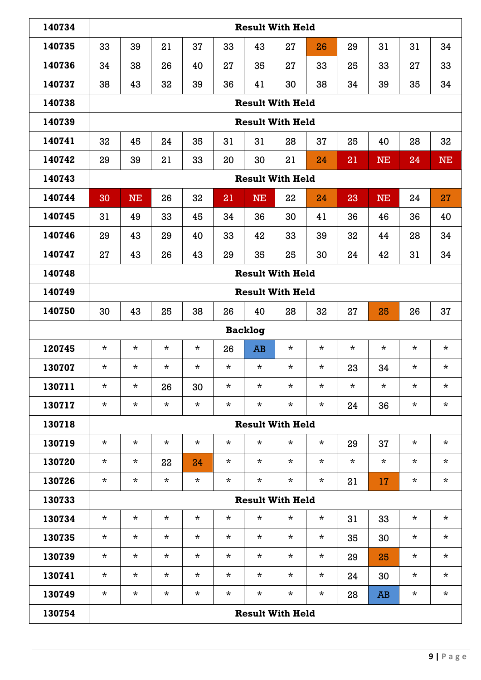| 140734 |                                                                      |                |          |          |         |           | <b>Result With Held</b> |          |         |           |         |           |  |  |  |
|--------|----------------------------------------------------------------------|----------------|----------|----------|---------|-----------|-------------------------|----------|---------|-----------|---------|-----------|--|--|--|
| 140735 | 33                                                                   | 39             | 21       | 37       | 33      | 43        | 27                      | 26       | 29      | 31        | 31      | 34        |  |  |  |
| 140736 | 34                                                                   | 38             | 26       | 40       | 27      | 35        | 27                      | 33       | 25      | 33        | 27      | 33        |  |  |  |
| 140737 | 38                                                                   | 43             | 32       | 39       | 36      | 41        | 30                      | 38       | 34      | 39        | 35      | 34        |  |  |  |
| 140738 |                                                                      |                |          |          |         |           | <b>Result With Held</b> |          |         |           |         |           |  |  |  |
| 140739 |                                                                      |                |          |          |         |           | <b>Result With Held</b> |          |         |           |         |           |  |  |  |
| 140741 | 32                                                                   | 45             | 24       | 35       | 31      | 31        | 28                      | 37       | 25      | 40        | 28      | 32        |  |  |  |
| 140742 | 29                                                                   | 39             | 21       | 33       | 20      | 30        | 21                      | 24       | 21      | <b>NE</b> | 24      | <b>NE</b> |  |  |  |
| 140743 |                                                                      |                |          |          |         |           | <b>Result With Held</b> |          |         |           |         |           |  |  |  |
| 140744 | 30                                                                   | <b>NE</b>      | 26       | 32       | 21      | <b>NE</b> | 22                      | 24       | 23      | <b>NE</b> | 24      | 27        |  |  |  |
| 140745 | 31                                                                   | 49             | 33       | 45       | 34      | 36        | 30                      | 41       | 36      | 46        | 36      | 40        |  |  |  |
| 140746 | 29                                                                   | 43             | 29       | 40       | 33      | 42        | 33                      | 39       | 32      | 44        | 28      | 34        |  |  |  |
| 140747 | 27                                                                   | 43             | 26       | 43       | 29      | 35        | 25                      | 30       | 24      | 42        | 31      | 34        |  |  |  |
| 140748 | <b>Result With Held</b>                                              |                |          |          |         |           |                         |          |         |           |         |           |  |  |  |
| 140749 | <b>Result With Held</b>                                              |                |          |          |         |           |                         |          |         |           |         |           |  |  |  |
| 140750 | 30<br>43<br>25<br>38<br>40<br>28<br>32<br>37<br>26<br>27<br>25<br>26 |                |          |          |         |           |                         |          |         |           |         |           |  |  |  |
|        |                                                                      | <b>Backlog</b> |          |          |         |           |                         |          |         |           |         |           |  |  |  |
| 120745 | $\star$                                                              | $\star$        | $\star$  | $\star$  | 26      | AB        | $\star$                 | $\star$  | $\star$ | $\star$   | $\star$ | $\star$   |  |  |  |
| 130707 | $\star$                                                              | $^\star$       | $\star$  | $\star$  | $\star$ | $\star$   | $\star$                 | $\star$  | 23      | 34        | $\star$ | $\star$   |  |  |  |
| 130711 | $\star$                                                              | $\star$        | 26       | 30       | $\star$ | $\star$   | $\star$                 | $\star$  | $\star$ | $\star$   | $\star$ | $\star$   |  |  |  |
| 130717 | $\star$                                                              | $\star$        | $\star$  | $\star$  | $\star$ | $\star$   | $\star$                 | $\star$  | 24      | 36        | $\star$ | $\star$   |  |  |  |
| 130718 |                                                                      |                |          |          |         |           | <b>Result With Held</b> |          |         |           |         |           |  |  |  |
| 130719 | $\star$                                                              | $\star$        | $\star$  | $\star$  | $\star$ | $\star$   | $^\star$                | $\star$  | 29      | 37        | $\star$ | $\star$   |  |  |  |
| 130720 | $^\star$                                                             | $^\star$       | 22       | 24       | $\star$ | $\star$   | $\star$                 | $\star$  | $\star$ | $\star$   | $\star$ | $\star$   |  |  |  |
| 130726 | $\star$                                                              | $^\star$       | $\star$  | $\star$  | $\star$ | $\star$   | $\star$                 | $^\star$ | 21      | 17        | $\star$ | $\star$   |  |  |  |
| 130733 |                                                                      |                |          |          |         |           | <b>Result With Held</b> |          |         |           |         |           |  |  |  |
| 130734 | $\star$                                                              | $\star$        | $^\star$ | $\star$  | $\star$ | $\star$   | $^\star$                | $^\star$ | 31      | 33        | $\star$ | $\star$   |  |  |  |
| 130735 | $\star$                                                              | $\star$        | $\star$  | $\star$  | $\star$ | $\star$   | $\star$                 | $^\star$ | 35      | 30        | $\star$ | $\star$   |  |  |  |
| 130739 | $^\star$                                                             | $\star$        | $^\star$ | $\star$  | $\star$ | $\star$   | $^\star$                | $^\star$ | 29      | 25        | $\star$ | $\star$   |  |  |  |
| 130741 | $\star$                                                              | $\star$        | $^\star$ | $^\star$ | $\star$ | $\star$   | $^\star$                | $\star$  | 24      | 30        | $\star$ | $\star$   |  |  |  |
| 130749 | $^\star$                                                             | $\star$        | $^\star$ | $^\star$ | $\star$ | $\star$   | $\star$                 | $\star$  | 28      | <b>AB</b> | $\star$ | $\star$   |  |  |  |
| 130754 |                                                                      |                |          |          |         |           | <b>Result With Held</b> |          |         |           |         |           |  |  |  |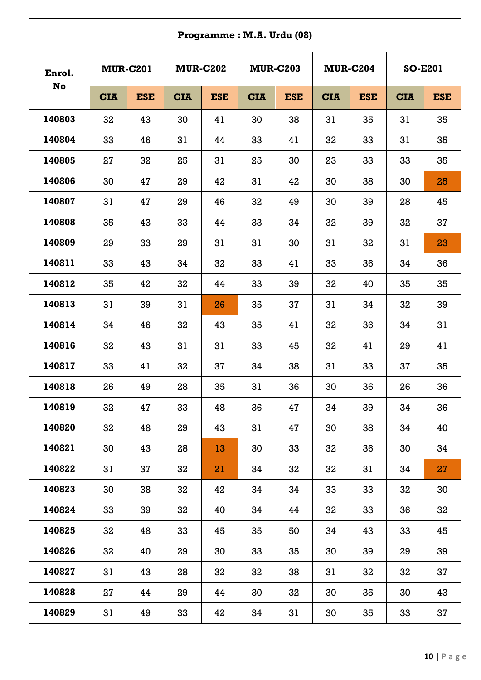|                     |            |                 |            |                 | Programme: M.A. Urdu (08) |                 |            |                 |                |            |
|---------------------|------------|-----------------|------------|-----------------|---------------------------|-----------------|------------|-----------------|----------------|------------|
| Enrol.<br><b>No</b> |            | <b>MUR-C201</b> |            | <b>MUR-C202</b> |                           | <b>MUR-C203</b> |            | <b>MUR-C204</b> | <b>SO-E201</b> |            |
|                     | <b>CIA</b> | <b>ESE</b>      | <b>CIA</b> | <b>ESE</b>      | <b>CIA</b>                | <b>ESE</b>      | <b>CIA</b> | <b>ESE</b>      | <b>CIA</b>     | <b>ESE</b> |
| 140803              | 32         | 43              | 30         | 41              | 30                        | 38              | 31         | 35              | 31             | 35         |
| 140804              | 33         | 46              | 31         | 44              | 33                        | 41              | 32         | 33              | 31             | 35         |
| 140805              | 27         | 32              | 25         | 31              | 25                        | 30              | 23         | 33              | 33             | 35         |
| 140806              | 30         | 47              | 29         | 42              | 31                        | 42              | 30         | 38              | 30             | 25         |
| 140807              | 31         | 47              | 29         | 46              | 32                        | 49              | 30         | 39              | 28             | 45         |
| 140808              | 35         | 43              | 33         | 44              | 33                        | 34              | 32         | 39              | 32             | 37         |
| 140809              | 29         | 33              | 29         | 31              | 31                        | 30              | 31         | 32              | 31             | 23         |
| 140811              | 33         | 43              | 34         | 32              | 33                        | 41              | 33         | 36              | 34             | 36         |
| 140812              | 35         | 42              | 32         | 44              | 33                        | 39              | 32         | 40              | 35             | 35         |
| 140813              | 31         | 39              | 31         | 26              | 35                        | 37              | 31         | 34              | 32             | 39         |
| 140814              | 34         | 46              | 32         | 43              | 35                        | 41              | 32         | 36              | 34             | 31         |
| 140816              | 32         | 43              | 31         | 31              | 33                        | 45              | 32         | 41              | 29             | 41         |
| 140817              | 33         | 41              | 32         | 37              | 34                        | 38              | 31         | 33              | 37             | 35         |
| 140818              | 26         | 49              | 28         | 35              | 31                        | 36              | 30         | 36              | 26             | 36         |
| 140819              | 32         | 47              | 33         | 48              | 36                        | 47              | 34         | 39              | 34             | 36         |
| 140820              | 32         | 48              | 29         | 43              | 31                        | 47              | 30         | 38              | 34             | 40         |
| 140821              | 30         | 43              | 28         | 13              | 30                        | 33              | 32         | 36              | 30             | 34         |
| 140822              | 31         | 37              | 32         | 21              | 34                        | 32              | 32         | 31              | 34             | 27         |
| 140823              | 30         | 38              | 32         | 42              | 34                        | 34              | 33         | 33              | 32             | 30         |
| 140824              | 33         | 39              | 32         | 40              | 34                        | 44              | 32         | 33              | 36             | 32         |
| 140825              | 32         | 48              | 33         | 45              | 35                        | 50              | 34         | 43              | 33             | 45         |
| 140826              | 32         | 40              | 29         | 30              | 33                        | 35              | 30         | 39              | 29             | 39         |
| 140827              | 31         | 43              | 28         | 32              | 32                        | 38              | 31         | 32              | 32             | 37         |
| 140828              | 27         | 44              | 29         | 44              | 30                        | 32              | 30         | 35              | 30             | 43         |
| 140829              | 31         | 49              | 33         | 42              | 34                        | 31              | 30         | 35              | 33             | 37         |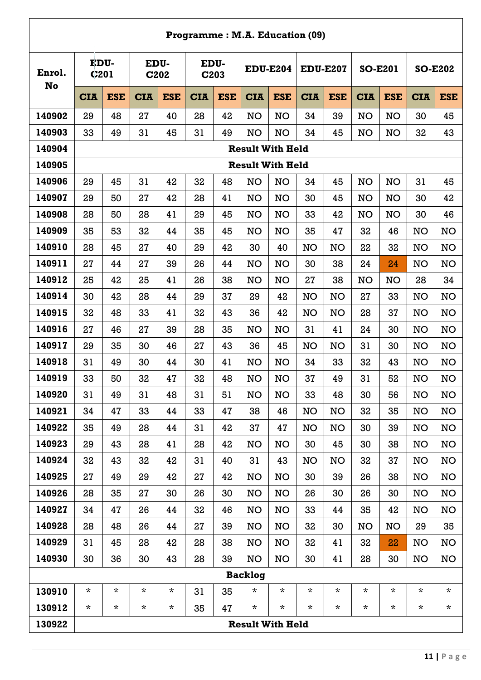# **Programme : M.A. Education (09)**

| Enrol.<br><b>No</b> | EDU-<br><b>C201</b> |            | EDU-<br>C202 |            | EDU-<br>C203 |            | <b>EDU-E204</b>         |            | <b>EDU-E207</b> |            | <b>SO-E201</b> |            | <b>SO-E202</b> |            |
|---------------------|---------------------|------------|--------------|------------|--------------|------------|-------------------------|------------|-----------------|------------|----------------|------------|----------------|------------|
|                     | <b>CIA</b>          | <b>ESE</b> | <b>CIA</b>   | <b>ESE</b> | <b>CIA</b>   | <b>ESE</b> | <b>CIA</b>              | <b>ESE</b> | <b>CIA</b>      | <b>ESE</b> | <b>CIA</b>     | <b>ESE</b> | <b>CIA</b>     | <b>ESE</b> |
| 140902              | 29                  | 48         | 27           | 40         | 28           | 42         | <b>NO</b>               | <b>NO</b>  | 34              | 39         | <b>NO</b>      | <b>NO</b>  | 30             | 45         |
| 140903              | 33                  | 49         | 31           | 45         | 31           | 49         | <b>NO</b>               | <b>NO</b>  | 34              | 45         | <b>NO</b>      | <b>NO</b>  | 32             | 43         |
| 140904              |                     |            |              |            |              |            | <b>Result With Held</b> |            |                 |            |                |            |                |            |
| 140905              |                     |            |              |            |              |            | <b>Result With Held</b> |            |                 |            |                |            |                |            |
| 140906              | 29                  | 45         | 31           | 42         | 32           | 48         | <b>NO</b>               | <b>NO</b>  | 34              | 45         | <b>NO</b>      | <b>NO</b>  | 31             | 45         |
| 140907              | 29                  | 50         | 27           | 42         | 28           | 41         | <b>NO</b>               | <b>NO</b>  | 30              | 45         | <b>NO</b>      | <b>NO</b>  | 30             | 42         |
| 140908              | 28                  | 50         | 28           | 41         | 29           | 45         | NO                      | <b>NO</b>  | 33              | 42         | NO             | <b>NO</b>  | 30             | 46         |
| 140909              | 35                  | 53         | 32           | 44         | 35           | 45         | <b>NO</b>               | <b>NO</b>  | 35              | 47         | 32             | 46         | NO             | NO         |
| 140910              | 28                  | 45         | 27           | 40         | 29           | 42         | 30                      | 40         | <b>NO</b>       | <b>NO</b>  | 22             | 32         | NO             | NO         |
| 140911              | 27                  | 44         | 27           | 39         | 26           | 44         | <b>NO</b>               | <b>NO</b>  | 30              | 38         | 24             | 24         | <b>NO</b>      | NO         |
| 140912              | 25                  | 42         | 25           | 41         | 26           | 38         | <b>NO</b>               | <b>NO</b>  | 27              | 38         | <b>NO</b>      | <b>NO</b>  | 28             | 34         |
| 140914              | 30                  | 42         | 28           | 44         | 29           | 37         | 29                      | 42         | <b>NO</b>       | <b>NO</b>  | 27             | 33         | NO             | NO         |
| 140915              | 32                  | 48         | 33           | 41         | 32           | 43         | 36                      | 42         | <b>NO</b>       | <b>NO</b>  | 28             | 37         | NO             | <b>NO</b>  |
| 140916              | 27                  | 46         | 27           | 39         | 28           | 35         | <b>NO</b>               | <b>NO</b>  | 31              | 41         | 24             | 30         | <b>NO</b>      | NO         |
| 140917              | 29                  | 35         | 30           | 46         | 27           | 43         | 36                      | 45         | <b>NO</b>       | <b>NO</b>  | 31             | 30         | NO             | NO         |
| 140918              | 31                  | 49         | 30           | 44         | 30           | 41         | <b>NO</b>               | <b>NO</b>  | 34              | 33         | 32             | 43         | <b>NO</b>      | NO         |
| 140919              | 33                  | 50         | 32           | 47         | 32           | 48         | <b>NO</b>               | <b>NO</b>  | 37              | 49         | 31             | 52         | NO             | NO         |
| 140920              | 31                  | 49         | 31           | 48         | 31           | 51         | NO                      | <b>NO</b>  | 33              | 48         | 30             | 56         | NO             | <b>NO</b>  |
| 140921              | 34                  | 47         | 33           | 44         | 33           | 47         | 38                      | 46         | NO              | <b>NO</b>  | 32             | 35         | <b>NO</b>      | <b>NO</b>  |
| 140922              | 35                  | 49         | 28           | 44         | 31           | 42         | 37                      | 47         | <b>NO</b>       | <b>NO</b>  | 30             | 39         | NO             | <b>NO</b>  |
| 140923              | 29                  | 43         | 28           | 41         | 28           | 42         | <b>NO</b>               | <b>NO</b>  | 30              | 45         | 30             | 38         | <b>NO</b>      | NO         |
| 140924              | 32                  | 43         | 32           | 42         | 31           | 40         | 31                      | 43         | NO              | <b>NO</b>  | 32             | 37         | NO             | NO         |
| 140925              | 27                  | 49         | 29           | 42         | 27           | 42         | <b>NO</b>               | <b>NO</b>  | 30              | 39         | 26             | 38         | NO             | <b>NO</b>  |
| 140926              | 28                  | 35         | 27           | 30         | 26           | 30         | <b>NO</b>               | <b>NO</b>  | 26              | 30         | 26             | 30         | <b>NO</b>      | <b>NO</b>  |
| 140927              | 34                  | 47         | 26           | 44         | 32           | 46         | <b>NO</b>               | <b>NO</b>  | 33              | 44         | 35             | 42         | NO             | NO         |
| 140928              | 28                  | 48         | 26           | 44         | 27           | 39         | NO                      | <b>NO</b>  | 32              | 30         | <b>NO</b>      | <b>NO</b>  | 29             | 35         |
| 140929              | 31                  | 45         | 28           | 42         | 28           | 38         | <b>NO</b>               | <b>NO</b>  | 32              | 41         | 32             | 22         | NO             | NO         |
| 140930              | 30                  | 36         | 30           | 43         | 28           | 39         | NO                      | <b>NO</b>  | 30              | 41         | 28             | 30         | <b>NO</b>      | NO         |
|                     | <b>Backlog</b>      |            |              |            |              |            |                         |            |                 |            |                |            |                |            |
| 130910              | $\star$             | $\star$    | $\star$      | $\star$    | 31           | 35         | *                       | $\star$    | *               | $\star$    | $\star$        | $\star$    | $\star$        | $\star$    |
| 130912              | $\star$             | $\star$    | $\star$      | $\star$    | 35           | 47         | $\star$                 | $\star$    | $\star$         | $\star$    | $\star$        | $\star$    | $\star$        | $\star$    |
| 130922              |                     |            |              |            |              |            | <b>Result With Held</b> |            |                 |            |                |            |                |            |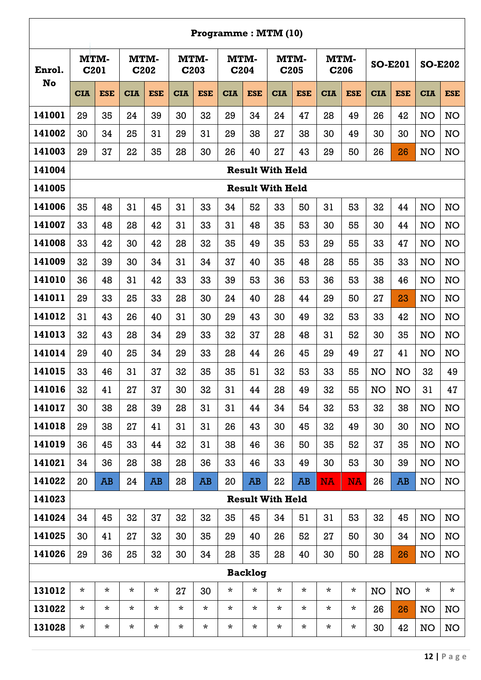|        |                          |            |              |            |                          |            | Programme: MTM (10) |                |                         |            |            |            |                |            |                |            |
|--------|--------------------------|------------|--------------|------------|--------------------------|------------|---------------------|----------------|-------------------------|------------|------------|------------|----------------|------------|----------------|------------|
| Enrol. | MTM-<br>C <sub>201</sub> |            | MTM-<br>C202 |            | MTM-<br>C <sub>203</sub> |            | MTM-<br>C204        |                | MTM-                    | C205       | MTM-       | C206       | <b>SO-E201</b> |            | <b>SO-E202</b> |            |
| No     | <b>CIA</b>               | <b>ESE</b> | <b>CIA</b>   | <b>ESE</b> | <b>CIA</b>               | <b>ESE</b> | <b>CIA</b>          | <b>ESE</b>     | <b>CIA</b>              | <b>ESE</b> | <b>CIA</b> | <b>ESE</b> | <b>CIA</b>     | <b>ESE</b> | <b>CIA</b>     | <b>ESE</b> |
| 141001 | 29                       | 35         | 24           | 39         | 30                       | 32         | 29                  | 34             | 24                      | 47         | 28         | 49         | 26             | 42         | NO             | <b>NO</b>  |
| 141002 | 30                       | 34         | 25           | 31         | 29                       | 31         | 29                  | 38             | 27                      | 38         | 30         | 49         | 30             | 30         | <b>NO</b>      | <b>NO</b>  |
| 141003 | 29                       | 37         | 22           | 35         | 28                       | 30         | 26                  | 40             | 27                      | 43         | 29         | 50         | 26             | 26         | <b>NO</b>      | <b>NO</b>  |
| 141004 |                          |            |              |            |                          |            |                     |                | <b>Result With Held</b> |            |            |            |                |            |                |            |
| 141005 |                          |            |              |            |                          |            |                     |                | <b>Result With Held</b> |            |            |            |                |            |                |            |
| 141006 | 35                       | 48         | 31           | 45         | 31                       | 33         | 34                  | 52             | 33                      | 50         | 31         | 53         | 32             | 44         | NO             | <b>NO</b>  |
| 141007 | 33                       | 48         | 28           | 42         | 31                       | 33         | 31                  | 48             | 35                      | 53         | 30         | 55         | 30             | 44         | NO             | NO         |
| 141008 | 33                       | 42         | 30           | 42         | 28                       | 32         | 35                  | 49             | 35                      | 53         | 29         | 55         | 33             | 47         | <b>NO</b>      | <b>NO</b>  |
| 141009 | 32                       | 39         | 30           | 34         | 31                       | 34         | 37                  | 40             | 35                      | 48         | 28         | 55         | 35             | 33         | <b>NO</b>      | <b>NO</b>  |
| 141010 | 36                       | 48         | 31           | 42         | 33                       | 33         | 39                  | 53             | 36                      | 53         | 36         | 53         | 38             | 46         | NO             | <b>NO</b>  |
| 141011 | 29                       | 33         | 25           | 33         | 28                       | 30         | 24                  | 40             | 28                      | 44         | 29         | 50         | 27             | 23         | <b>NO</b>      | <b>NO</b>  |
| 141012 | 31                       | 43         | 26           | 40         | 31                       | 30         | 29                  | 43             | 30                      | 49         | 32         | 53         | 33             | 42         | NO             | <b>NO</b>  |
| 141013 | 32                       | 43         | 28           | 34         | 29                       | 33         | 32                  | 37             | 28                      | 48         | 31         | 52         | 30             | 35         | NO             | <b>NO</b>  |
| 141014 | 29                       | 40         | 25           | 34         | 29                       | 33         | 28                  | 44             | 26                      | 45         | 29         | 49         | 27             | 41         | NO             | <b>NO</b>  |
| 141015 | 33                       | 46         | 31           | 37         | 32                       | 35         | 35                  | 51             | 32                      | 53         | 33         | 55         | NO             | <b>NO</b>  | 32             | 49         |
| 141016 | 32                       | 41         | 27           | 37         | 30                       | 32         | 31                  | 44             | 28                      | 49         | 32         | 55         | <b>NO</b>      | <b>NO</b>  | 31             | 47         |
| 141017 | 30                       | 38         | 28           | 39         | 28                       | 31         | 31                  | 44             | 34                      | 54         | 32         | 53         | 32             | 38         | NO             | <b>NO</b>  |
| 141018 | 29                       | 38         | 27           | 41         | 31                       | 31         | 26                  | 43             | 30                      | 45         | 32         | 49         | 30             | 30         | <b>NO</b>      | <b>NO</b>  |
| 141019 | 36                       | 45         | 33           | 44         | 32                       | 31         | 38                  | 46             | 36                      | 50         | 35         | 52         | 37             | 35         | NO             | <b>NO</b>  |
| 141021 | 34                       | 36         | 28           | 38         | 28                       | 36         | 33                  | 46             | 33                      | 49         | 30         | 53         | 30             | 39         | NO             | <b>NO</b>  |
| 141022 | 20                       | AB         | 24           | <b>AB</b>  | 28                       | AB         | 20                  | <b>AB</b>      | 22                      | <b>AB</b>  | <b>NA</b>  | <b>NA</b>  | 26             | AB         | <b>NO</b>      | <b>NO</b>  |
| 141023 |                          |            |              |            |                          |            |                     |                | <b>Result With Held</b> |            |            |            |                |            |                |            |
| 141024 | 34                       | 45         | 32           | 37         | 32                       | 32         | 35                  | 45             | 34                      | 51         | 31         | 53         | 32             | 45         | <b>NO</b>      | <b>NO</b>  |
| 141025 | 30                       | 41         | 27           | 32         | 30                       | 35         | 29                  | 40             | 26                      | 52         | 27         | 50         | 30             | 34         | <b>NO</b>      | <b>NO</b>  |
| 141026 | 29                       | 36         | 25           | 32         | 30                       | 34         | 28                  | 35             | 28                      | 40         | 30         | 50         | 28             | 26         | <b>NO</b>      | <b>NO</b>  |
|        |                          |            |              |            |                          |            |                     | <b>Backlog</b> |                         |            |            |            |                |            |                |            |
| 131012 | $\star$                  | $\star$    | $\star$      | $\star$    | 27                       | 30         | $\star$             | $\star$        | $\star$                 | $\star$    | $\star$    | $\star$    | <b>NO</b>      | NO         | $\star$        | $\star$    |
| 131022 | $\star$                  | $\star$    | $\star$      | $\star$    | $\star$                  | $\star$    | $\star$             | $\star$        | *                       | $^\star$   | $\star$    | $\star$    | 26             | 26         | <b>NO</b>      | <b>NO</b>  |
| 131028 | $\star$                  | $\star$    | $^\star$     | $^\star$   | $^\star$                 | $^\star$   | $^\star$            | $^\star$       | $^\star$                | $^\star$   | $\star$    | $^\star$   | 30             | 42         | <b>NO</b>      | <b>NO</b>  |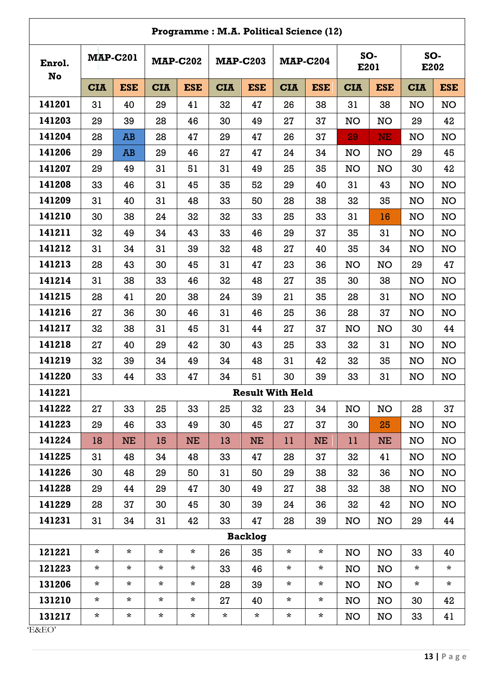| Programme: M.A. Political Science (12) |                 |                         |                 |            |                 |            |                 |            |             |            |             |            |
|----------------------------------------|-----------------|-------------------------|-----------------|------------|-----------------|------------|-----------------|------------|-------------|------------|-------------|------------|
| Enrol.<br>No                           | <b>MAP-C201</b> |                         | <b>MAP-C202</b> |            | <b>MAP-C203</b> |            | <b>MAP-C204</b> |            | SO-<br>E201 |            | SO-<br>E202 |            |
|                                        | <b>CIA</b>      | <b>ESE</b>              | <b>CIA</b>      | <b>ESE</b> | <b>CIA</b>      | <b>ESE</b> | <b>CIA</b>      | <b>ESE</b> | <b>CIA</b>  | <b>ESE</b> | <b>CIA</b>  | <b>ESE</b> |
| 141201                                 | 31              | 40                      | 29              | 41         | 32              | 47         | 26              | 38         | 31          | 38         | <b>NO</b>   | <b>NO</b>  |
| 141203                                 | 29              | 39                      | 28              | 46         | 30              | 49         | 27              | 37         | NO          | <b>NO</b>  | 29          | 42         |
| 141204                                 | 28              | <b>AB</b>               | 28              | 47         | 29              | 47         | 26              | 37         | 29          | <b>NE</b>  | <b>NO</b>   | NO         |
| 141206                                 | 29              | AB                      | 29              | 46         | 27              | 47         | 24              | 34         | <b>NO</b>   | <b>NO</b>  | 29          | 45         |
| 141207                                 | 29              | 49                      | 31              | 51         | 31              | 49         | 25              | 35         | NO          | <b>NO</b>  | 30          | 42         |
| 141208                                 | 33              | 46                      | 31              | 45         | 35              | 52         | 29              | 40         | 31          | 43         | <b>NO</b>   | NO         |
| 141209                                 | 31              | 40                      | 31              | 48         | 33              | 50         | 28              | 38         | 32          | 35         | <b>NO</b>   | NO         |
| 141210                                 | 30              | 38                      | 24              | 32         | 32              | 33         | 25              | 33         | 31          | 16         | <b>NO</b>   | NO         |
| 141211                                 | 32              | 49                      | 34              | 43         | 33              | 46         | 29              | 37         | 35          | 31         | <b>NO</b>   | NO         |
| 141212                                 | 31              | 34                      | 31              | 39         | 32              | 48         | 27              | 40         | 35          | 34         | <b>NO</b>   | <b>NO</b>  |
| 141213                                 | 28              | 43                      | 30              | 45         | 31              | 47         | 23              | 36         | <b>NO</b>   | <b>NO</b>  | 29          | 47         |
| 141214                                 | 31              | 38                      | 33              | 46         | 32              | 48         | 27              | 35         | 30          | 38         | <b>NO</b>   | NO         |
| 141215                                 | 28              | 41                      | 20              | 38         | 24              | 39         | 21              | 35         | 28          | 31         | <b>NO</b>   | NO         |
| 141216                                 | 27              | 36                      | 30              | 46         | 31              | 46         | 25              | 36         | 28          | 37         | <b>NO</b>   | NO         |
| 141217                                 | 32              | 38                      | 31              | 45         | 31              | 44         | 27              | 37         | <b>NO</b>   | <b>NO</b>  | 30          | 44         |
| 141218                                 | 27              | 40                      | 29              | 42         | 30              | 43         | 25              | 33         | 32          | 31         | <b>NO</b>   | NO         |
| 141219                                 | 32              | 39                      | 34              | 49         | 34              | 48         | 31              | 42         | 32          | 35         | <b>NO</b>   | <b>NO</b>  |
| 141220                                 | 33              | 44                      | 33              | 47         | 34              | 51         | 30              | 39         | 33          | 31         | <b>NO</b>   | NO         |
| 141221                                 |                 | <b>Result With Held</b> |                 |            |                 |            |                 |            |             |            |             |            |
| 141222                                 | 27              | 33                      | 25              | 33         | 25              | 32         | 23              | 34         | <b>NO</b>   | <b>NO</b>  | 28          | 37         |
| 141223                                 | 29              | 46                      | 33              | 49         | 30              | 45         | 27              | 37         | 30          | 25         | <b>NO</b>   | <b>NO</b>  |
| 141224                                 | 18              | NE                      | 15              | NE         | 13              | <b>NE</b>  | 11              | NE         | 11          | <b>NE</b>  | <b>NO</b>   | NO         |
| 141225                                 | 31              | 48                      | 34              | 48         | 33              | 47         | 28              | 37         | 32          | 41         | <b>NO</b>   | NO         |
| 141226                                 | 30              | 48                      | 29              | 50         | 31              | 50         | 29              | 38         | 32          | 36         | <b>NO</b>   | NO         |
| 141228                                 | 29              | 44                      | 29              | 47         | 30              | 49         | 27              | 38         | 32          | 38         | <b>NO</b>   | NO         |
| 141229                                 | 28              | 37                      | 30              | 45         | 30              | 39         | 24              | 36         | 32          | 42         | <b>NO</b>   | NO         |
| 141231                                 | 31              | 34                      | 31              | 42         | 33              | 47         | 28              | 39         | NO          | NO         | 29          | 44         |
| <b>Backlog</b>                         |                 |                         |                 |            |                 |            |                 |            |             |            |             |            |
| 121221                                 | $\star$         | $\star$                 | $\star$         | $\star$    | 26              | 35         | $\star$         | $\star$    | NO          | <b>NO</b>  | 33          | 40         |
| 121223                                 | $\star$         | $\star$                 | $\star$         | $\star$    | 33              | 46         | $\star$         | $\ast$     | <b>NO</b>   | <b>NO</b>  | $\star$     | $\star$    |
| 131206                                 | $\star$         | $\star$                 | $\star$         | $^\star$   | 28              | 39         | $\star$         | $^\star$   | NO          | NO         | $\star$     | $\star$    |
| 131210                                 | $\star$         | $\star$                 | $\star$         | $\star$    | 27              | 40         | $\star$         | $\star$    | <b>NO</b>   | <b>NO</b>  | 30          | 42         |
| 131217                                 | $\star$         | $\star$                 | $\star$         | $\star$    | $\star$         | $\star$    | $\star$         | $\ast$     | NO          | NO         | 33          | 41         |